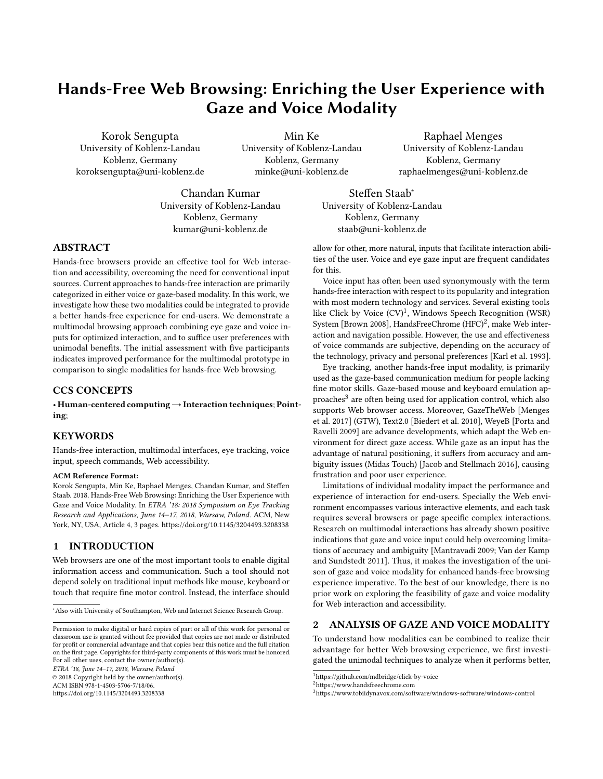# Hands-Free Web Browsing: Enriching the User Experience with Gaze and Voice Modality

Korok Sengupta University of Koblenz-Landau Koblenz, Germany koroksengupta@uni-koblenz.de

Min Ke University of Koblenz-Landau Koblenz, Germany minke@uni-koblenz.de

for this.

Raphael Menges University of Koblenz-Landau Koblenz, Germany raphaelmenges@uni-koblenz.de

allow for other, more natural, inputs that facilitate interaction abilities of the user. Voice and eye gaze input are frequent candidates

Voice input has often been used synonymously with the term hands-free interaction with respect to its popularity and integration with most modern technology and services. Several existing tools like Click by Voice (CV)<sup>[1](#page-0-0)</sup>, Windows Speech Recognition (WSR) System [\[Brown 2008\]](#page-2-1), HandsFreeChrome  $(\mathrm{HFC})^2$  $(\mathrm{HFC})^2$ , make Web interaction and navigation possible. However, the use and effectiveness of voice commands are subjective, depending on the accuracy of the technology, privacy and personal preferences [\[Karl et al.](#page-2-2) [1993\]](#page-2-2). Eye tracking, another hands-free input modality, is primarily used as the gaze-based communication medium for people lacking fine motor skills. Gaze-based mouse and keyboard emulation approaches $^3$  $^3$  are often being used for application control, which also supports Web browser access. Moreover, GazeTheWeb [\[Menges](#page-2-3) [et al.](#page-2-3) [2017\]](#page-2-3) (GTW), Text2.0 [\[Biedert et al.](#page-2-4) [2010\]](#page-2-4), WeyeB [\[Porta and](#page-2-5) [Ravelli 2009\]](#page-2-5) are advance developments, which adapt the Web environment for direct gaze access. While gaze as an input has the advantage of natural positioning, it suffers from accuracy and ambiguity issues (Midas Touch) [\[Jacob and Stellmach 2016\]](#page-2-6), causing

Limitations of individual modality impact the performance and experience of interaction for end-users. Specially the Web environment encompasses various interactive elements, and each task requires several browsers or page specific complex interactions. Research on multimodal interactions has already shown positive indications that gaze and voice input could help overcoming limitations of accuracy and ambiguity [\[Mantravadi 2009;](#page-2-7) [Van der Kamp](#page-2-8) [and Sundstedt 2011\]](#page-2-8). Thus, it makes the investigation of the unison of gaze and voice modality for enhanced hands-free browsing experience imperative. To the best of our knowledge, there is no prior work on exploring the feasibility of gaze and voice modality

Chandan Kumar University of Koblenz-Landau Koblenz, Germany kumar@uni-koblenz.de

Steffen Staab<sup>∗</sup> University of Koblenz-Landau Koblenz, Germany staab@uni-koblenz.de

frustration and poor user experience.

for Web interaction and accessibility.

<span id="page-0-0"></span><sup>1</sup>https://github.com/mdbridge/click-by-voice

# ABSTRACT

Hands-free browsers provide an effective tool for Web interaction and accessibility, overcoming the need for conventional input sources. Current approaches to hands-free interaction are primarily categorized in either voice or gaze-based modality. In this work, we investigate how these two modalities could be integrated to provide a better hands-free experience for end-users. We demonstrate a multimodal browsing approach combining eye gaze and voice inputs for optimized interaction, and to suffice user preferences with unimodal benefits. The initial assessment with five participants indicates improved performance for the multimodal prototype in comparison to single modalities for hands-free Web browsing.

### CCS CONCEPTS

• Human-centered computing→Interaction techniques; Pointing;

#### **KEYWORDS**

Hands-free interaction, multimodal interfaces, eye tracking, voice input, speech commands, Web accessibility.

#### ACM Reference Format:

Korok Sengupta, Min Ke, Raphael Menges, Chandan Kumar, and Steffen Staab. 2018. Hands-Free Web Browsing: Enriching the User Experience with Gaze and Voice Modality. In ETRA '18: 2018 Symposium on Eye Tracking Research and Applications, June 14–17, 2018, Warsaw, Poland. ACM, New York, NY, USA, Article 4, [3](#page-2-0) pages.<https://doi.org/10.1145/3204493.3208338>

# 1 INTRODUCTION

Web browsers are one of the most important tools to enable digital information access and communication. Such a tool should not depend solely on traditional input methods like mouse, keyboard or touch that require fine motor control. Instead, the interface should

ETRA '18, June 14–17, 2018, Warsaw, Poland

© 2018 Copyright held by the owner/author(s). ACM ISBN 978-1-4503-5706-7/18/06.

<https://doi.org/10.1145/3204493.3208338>

2 ANALYSIS OF GAZE AND VOICE MODALITY To understand how modalities can be combined to realize their advantage for better Web browsing experience, we first investigated the unimodal techniques to analyze when it performs better,

<sup>∗</sup>Also with University of Southampton, Web and Internet Science Research Group.

Permission to make digital or hard copies of part or all of this work for personal or classroom use is granted without fee provided that copies are not made or distributed for profit or commercial advantage and that copies bear this notice and the full citation on the first page. Copyrights for third-party components of this work must be honored. For all other uses, contact the owner/author(s).

<span id="page-0-1"></span><sup>2</sup>https://www.handsfreechrome.com

<span id="page-0-2"></span><sup>3</sup><https://www.tobiidynavox.com/software/windows-software/windows-control>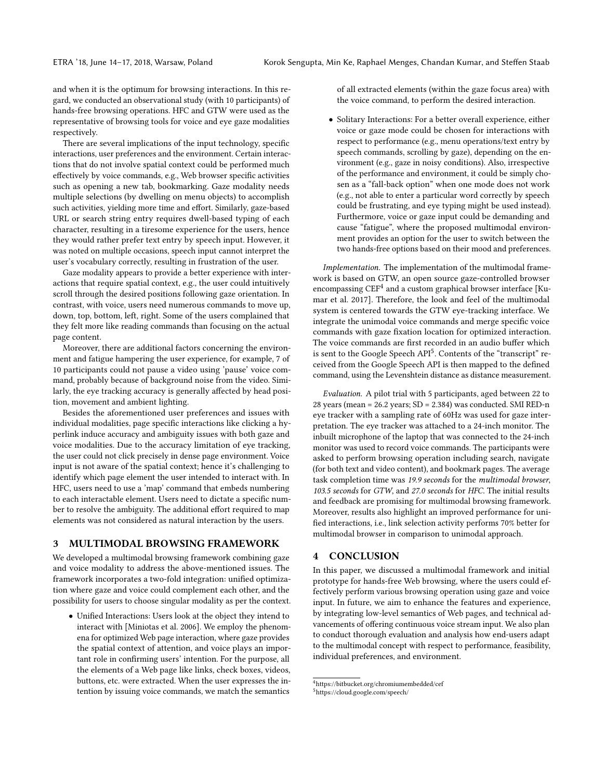and when it is the optimum for browsing interactions. In this regard, we conducted an observational study (with 10 participants) of hands-free browsing operations. HFC and GTW were used as the representative of browsing tools for voice and eye gaze modalities respectively.

There are several implications of the input technology, specific interactions, user preferences and the environment. Certain interactions that do not involve spatial context could be performed much effectively by voice commands, e.g., Web browser specific activities such as opening a new tab, bookmarking. Gaze modality needs multiple selections (by dwelling on menu objects) to accomplish such activities, yielding more time and effort. Similarly, gaze-based URL or search string entry requires dwell-based typing of each character, resulting in a tiresome experience for the users, hence they would rather prefer text entry by speech input. However, it was noted on multiple occasions, speech input cannot interpret the user's vocabulary correctly, resulting in frustration of the user.

Gaze modality appears to provide a better experience with interactions that require spatial context, e.g., the user could intuitively scroll through the desired positions following gaze orientation. In contrast, with voice, users need numerous commands to move up, down, top, bottom, left, right. Some of the users complained that they felt more like reading commands than focusing on the actual page content.

Moreover, there are additional factors concerning the environment and fatigue hampering the user experience, for example, 7 of 10 participants could not pause a video using 'pause' voice command, probably because of background noise from the video. Similarly, the eye tracking accuracy is generally affected by head position, movement and ambient lighting.

Besides the aforementioned user preferences and issues with individual modalities, page specific interactions like clicking a hyperlink induce accuracy and ambiguity issues with both gaze and voice modalities. Due to the accuracy limitation of eye tracking, the user could not click precisely in dense page environment. Voice input is not aware of the spatial context; hence it's challenging to identify which page element the user intended to interact with. In HFC, users need to use a 'map' command that embeds numbering to each interactable element. Users need to dictate a specific number to resolve the ambiguity. The additional effort required to map elements was not considered as natural interaction by the users.

#### 3 MULTIMODAL BROWSING FRAMEWORK

We developed a multimodal browsing framework combining gaze and voice modality to address the above-mentioned issues. The framework incorporates a two-fold integration: unified optimization where gaze and voice could complement each other, and the possibility for users to choose singular modality as per the context.

• Unified Interactions: Users look at the object they intend to interact with [\[Miniotas et al.](#page-2-9) [2006\]](#page-2-9). We employ the phenomena for optimized Web page interaction, where gaze provides the spatial context of attention, and voice plays an important role in confirming users' intention. For the purpose, all the elements of a Web page like links, check boxes, videos, buttons, etc. were extracted. When the user expresses the intention by issuing voice commands, we match the semantics

of all extracted elements (within the gaze focus area) with the voice command, to perform the desired interaction.

• Solitary Interactions: For a better overall experience, either voice or gaze mode could be chosen for interactions with respect to performance (e.g., menu operations/text entry by speech commands, scrolling by gaze), depending on the environment (e.g., gaze in noisy conditions). Also, irrespective of the performance and environment, it could be simply chosen as a "fall-back option" when one mode does not work (e.g., not able to enter a particular word correctly by speech could be frustrating, and eye typing might be used instead). Furthermore, voice or gaze input could be demanding and cause "fatigue", where the proposed multimodal environment provides an option for the user to switch between the two hands-free options based on their mood and preferences.

Implementation. The implementation of the multimodal framework is based on GTW, an open source gaze-controlled browser encompassing  $\mathrm{CEF}^4$  $\mathrm{CEF}^4$  and a custom graphical browser interface [\[Ku](#page-2-10)[mar et al.](#page-2-10) [2017\]](#page-2-10). Therefore, the look and feel of the multimodal system is centered towards the GTW eye-tracking interface. We integrate the unimodal voice commands and merge specific voice commands with gaze fixation location for optimized interaction. The voice commands are first recorded in an audio buffer which is sent to the Google Speech API<sup>[5](#page-1-1)</sup>. Contents of the "transcript" received from the Google Speech API is then mapped to the defined command, using the Levenshtein distance as distance measurement.

Evaluation. A pilot trial with 5 participants, aged between 22 to 28 years (mean = 26.2 years; SD = 2.384) was conducted. SMI RED-n eye tracker with a sampling rate of 60Hz was used for gaze interpretation. The eye tracker was attached to a 24-inch monitor. The inbuilt microphone of the laptop that was connected to the 24-inch monitor was used to record voice commands. The participants were asked to perform browsing operation including search, navigate (for both text and video content), and bookmark pages. The average task completion time was 19.9 seconds for the multimodal browser, 103.5 seconds for GTW, and 27.0 seconds for HFC. The initial results and feedback are promising for multimodal browsing framework. Moreover, results also highlight an improved performance for unified interactions, i.e., link selection activity performs 70% better for multimodal browser in comparison to unimodal approach.

## 4 CONCLUSION

In this paper, we discussed a multimodal framework and initial prototype for hands-free Web browsing, where the users could effectively perform various browsing operation using gaze and voice input. In future, we aim to enhance the features and experience, by integrating low-level semantics of Web pages, and technical advancements of offering continuous voice stream input. We also plan to conduct thorough evaluation and analysis how end-users adapt to the multimodal concept with respect to performance, feasibility, individual preferences, and environment.

<span id="page-1-0"></span><sup>4</sup><https://bitbucket.org/chromiumembedded/cef>

<span id="page-1-1"></span><sup>5</sup><https://cloud.google.com/speech/>